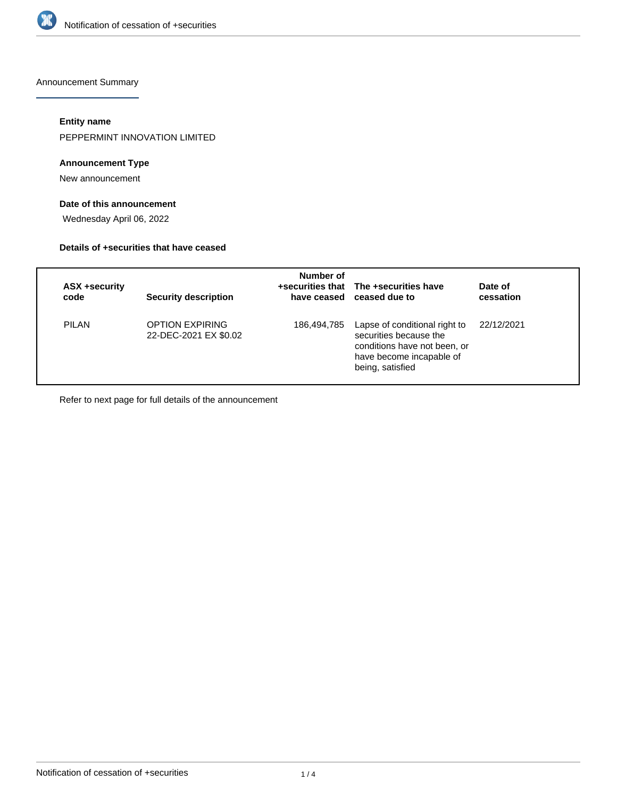

Announcement Summary

## **Entity name**

PEPPERMINT INNOVATION LIMITED

## **Announcement Type**

New announcement

## **Date of this announcement**

Wednesday April 06, 2022

#### **Details of +securities that have ceased**

| <b>ASX +security</b><br>code | <b>Security description</b>                     | Number of   | +securities that The +securities have<br>have ceased ceased due to                                                                      | Date of<br>cessation |
|------------------------------|-------------------------------------------------|-------------|-----------------------------------------------------------------------------------------------------------------------------------------|----------------------|
| PILAN                        | <b>OPTION EXPIRING</b><br>22-DEC-2021 EX \$0.02 | 186,494,785 | Lapse of conditional right to<br>securities because the<br>conditions have not been, or<br>have become incapable of<br>being, satisfied | 22/12/2021           |

Refer to next page for full details of the announcement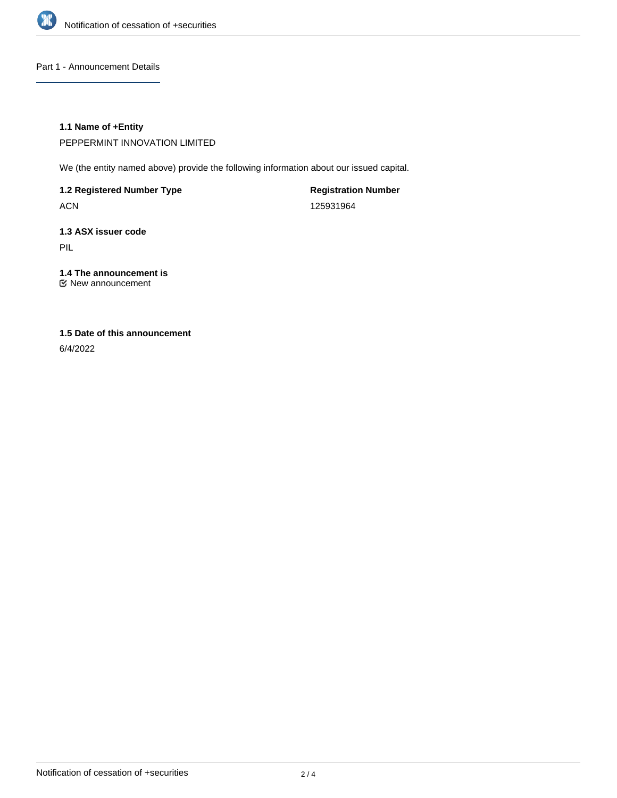

Part 1 - Announcement Details

## **1.1 Name of +Entity**

PEPPERMINT INNOVATION LIMITED

We (the entity named above) provide the following information about our issued capital.

**1.2 Registered Number Type**

ACN

**Registration Number** 125931964

# **1.3 ASX issuer code**

PIL

## **1.4 The announcement is**

New announcement

## **1.5 Date of this announcement**

6/4/2022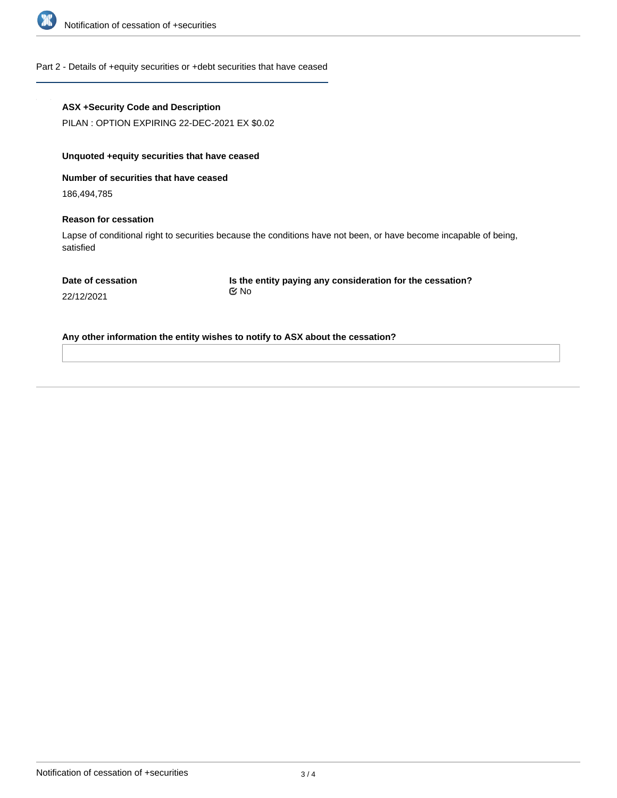

#### Part 2 - Details of +equity securities or +debt securities that have ceased

#### **ASX +Security Code and Description**

PILAN : OPTION EXPIRING 22-DEC-2021 EX \$0.02

## **Unquoted +equity securities that have ceased**

**Number of securities that have ceased**

186,494,785

#### **Reason for cessation**

Lapse of conditional right to securities because the conditions have not been, or have become incapable of being, satisfied

**Is the entity paying any consideration for the cessation?** No

22/12/2021

**Any other information the entity wishes to notify to ASX about the cessation?**